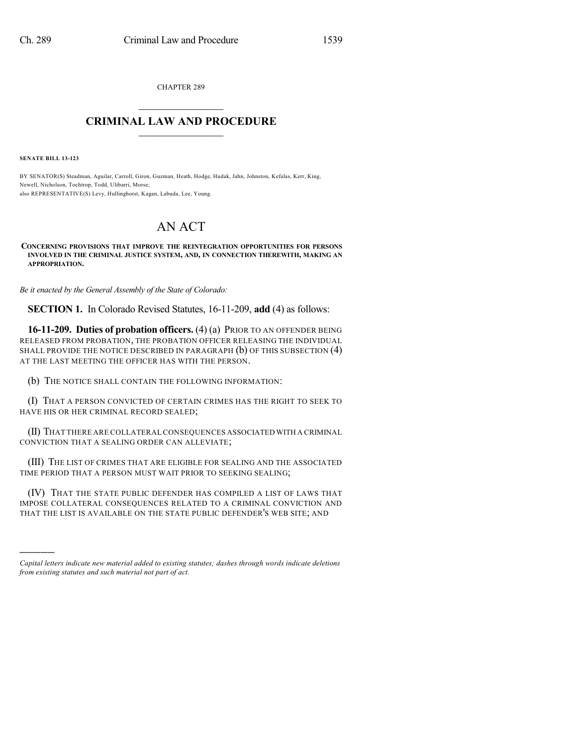CHAPTER 289  $\mathcal{L}_\text{max}$  . The set of the set of the set of the set of the set of the set of the set of the set of the set of the set of the set of the set of the set of the set of the set of the set of the set of the set of the set

## **CRIMINAL LAW AND PROCEDURE**  $\_$

**SENATE BILL 13-123**

)))))

BY SENATOR(S) Steadman, Aguilar, Carroll, Giron, Guzman, Heath, Hodge, Hudak, Jahn, Johnston, Kefalas, Kerr, King, Newell, Nicholson, Tochtrop, Todd, Ulibarri, Morse; also REPRESENTATIVE(S) Levy, Hullinghorst, Kagan, Labuda, Lee, Young.

# AN ACT

**CONCERNING PROVISIONS THAT IMPROVE THE REINTEGRATION OPPORTUNITIES FOR PERSONS INVOLVED IN THE CRIMINAL JUSTICE SYSTEM, AND, IN CONNECTION THEREWITH, MAKING AN APPROPRIATION.**

*Be it enacted by the General Assembly of the State of Colorado:*

**SECTION 1.** In Colorado Revised Statutes, 16-11-209, **add** (4) as follows:

**16-11-209. Duties of probation officers.** (4) (a) PRIOR TO AN OFFENDER BEING RELEASED FROM PROBATION, THE PROBATION OFFICER RELEASING THE INDIVIDUAL SHALL PROVIDE THE NOTICE DESCRIBED IN PARAGRAPH (b) OF THIS SUBSECTION (4) AT THE LAST MEETING THE OFFICER HAS WITH THE PERSON.

(b) THE NOTICE SHALL CONTAIN THE FOLLOWING INFORMATION:

(I) THAT A PERSON CONVICTED OF CERTAIN CRIMES HAS THE RIGHT TO SEEK TO HAVE HIS OR HER CRIMINAL RECORD SEALED;

(II) THAT THERE ARE COLLATERAL CONSEQUENCES ASSOCIATED WITH A CRIMINAL CONVICTION THAT A SEALING ORDER CAN ALLEVIATE;

(III) THE LIST OF CRIMES THAT ARE ELIGIBLE FOR SEALING AND THE ASSOCIATED TIME PERIOD THAT A PERSON MUST WAIT PRIOR TO SEEKING SEALING;

(IV) THAT THE STATE PUBLIC DEFENDER HAS COMPILED A LIST OF LAWS THAT IMPOSE COLLATERAL CONSEQUENCES RELATED TO A CRIMINAL CONVICTION AND THAT THE LIST IS AVAILABLE ON THE STATE PUBLIC DEFENDER'S WEB SITE; AND

*Capital letters indicate new material added to existing statutes; dashes through words indicate deletions from existing statutes and such material not part of act.*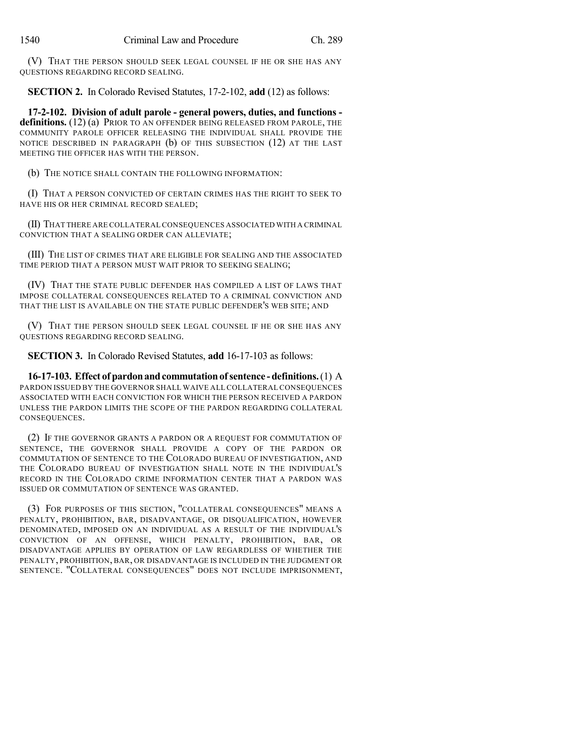(V) THAT THE PERSON SHOULD SEEK LEGAL COUNSEL IF HE OR SHE HAS ANY QUESTIONS REGARDING RECORD SEALING.

**SECTION 2.** In Colorado Revised Statutes, 17-2-102, **add** (12) as follows:

**17-2-102. Division of adult parole - general powers, duties, and functions**  definitions. (12) (a) PRIOR TO AN OFFENDER BEING RELEASED FROM PAROLE, THE COMMUNITY PAROLE OFFICER RELEASING THE INDIVIDUAL SHALL PROVIDE THE NOTICE DESCRIBED IN PARAGRAPH (b) OF THIS SUBSECTION (12) AT THE LAST MEETING THE OFFICER HAS WITH THE PERSON.

(b) THE NOTICE SHALL CONTAIN THE FOLLOWING INFORMATION:

(I) THAT A PERSON CONVICTED OF CERTAIN CRIMES HAS THE RIGHT TO SEEK TO HAVE HIS OR HER CRIMINAL RECORD SEALED;

(II) THAT THERE ARE COLLATERAL CONSEQUENCES ASSOCIATED WITH A CRIMINAL CONVICTION THAT A SEALING ORDER CAN ALLEVIATE;

(III) THE LIST OF CRIMES THAT ARE ELIGIBLE FOR SEALING AND THE ASSOCIATED TIME PERIOD THAT A PERSON MUST WAIT PRIOR TO SEEKING SEALING;

(IV) THAT THE STATE PUBLIC DEFENDER HAS COMPILED A LIST OF LAWS THAT IMPOSE COLLATERAL CONSEQUENCES RELATED TO A CRIMINAL CONVICTION AND THAT THE LIST IS AVAILABLE ON THE STATE PUBLIC DEFENDER'S WEB SITE; AND

(V) THAT THE PERSON SHOULD SEEK LEGAL COUNSEL IF HE OR SHE HAS ANY QUESTIONS REGARDING RECORD SEALING.

**SECTION 3.** In Colorado Revised Statutes, **add** 16-17-103 as follows:

**16-17-103. Effect of pardonandcommutationof sentence -definitions.**(1) A PARDON ISSUED BY THE GOVERNOR SHALL WAIVE ALL COLLATERAL CONSEQUENCES ASSOCIATED WITH EACH CONVICTION FOR WHICH THE PERSON RECEIVED A PARDON UNLESS THE PARDON LIMITS THE SCOPE OF THE PARDON REGARDING COLLATERAL CONSEQUENCES.

(2) IF THE GOVERNOR GRANTS A PARDON OR A REQUEST FOR COMMUTATION OF SENTENCE, THE GOVERNOR SHALL PROVIDE A COPY OF THE PARDON OR COMMUTATION OF SENTENCE TO THE COLORADO BUREAU OF INVESTIGATION, AND THE COLORADO BUREAU OF INVESTIGATION SHALL NOTE IN THE INDIVIDUAL'S RECORD IN THE COLORADO CRIME INFORMATION CENTER THAT A PARDON WAS ISSUED OR COMMUTATION OF SENTENCE WAS GRANTED.

(3) FOR PURPOSES OF THIS SECTION, "COLLATERAL CONSEQUENCES" MEANS A PENALTY, PROHIBITION, BAR, DISADVANTAGE, OR DISQUALIFICATION, HOWEVER DENOMINATED, IMPOSED ON AN INDIVIDUAL AS A RESULT OF THE INDIVIDUAL'S CONVICTION OF AN OFFENSE, WHICH PENALTY, PROHIBITION, BAR, OR DISADVANTAGE APPLIES BY OPERATION OF LAW REGARDLESS OF WHETHER THE PENALTY, PROHIBITION, BAR, OR DISADVANTAGE IS INCLUDED IN THE JUDGMENT OR SENTENCE. "COLLATERAL CONSEQUENCES" DOES NOT INCLUDE IMPRISONMENT,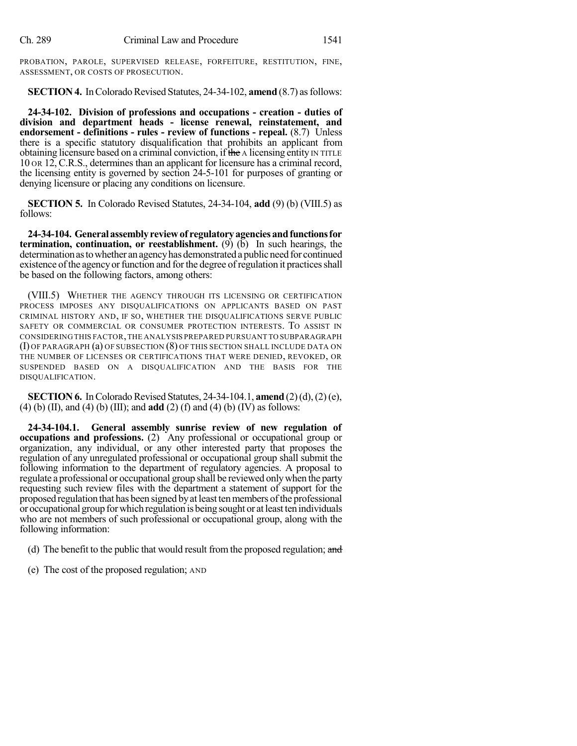PROBATION, PAROLE, SUPERVISED RELEASE, FORFEITURE, RESTITUTION, FINE, ASSESSMENT, OR COSTS OF PROSECUTION.

**SECTION 4.** In Colorado Revised Statutes, 24-34-102, **amend** (8.7) as follows:

**24-34-102. Division of professions and occupations - creation - duties of division and department heads - license renewal, reinstatement, and endorsement - definitions - rules - review of functions - repeal.** (8.7) Unless there is a specific statutory disqualification that prohibits an applicant from obtaining licensure based on a criminal conviction, if the A licensing entity IN TITLE 10 OR 12, C.R.S., determines than an applicant for licensure has a criminal record, the licensing entity is governed by section 24-5-101 for purposes of granting or denying licensure or placing any conditions on licensure.

**SECTION 5.** In Colorado Revised Statutes, 24-34-104, **add** (9) (b) (VIII.5) as follows:

**24-34-104. Generalassemblyreviewof regulatoryagenciesandfunctionsfor termination, continuation, or reestablishment.** (9) (b) In such hearings, the determination as to whether an agency has demonstrated a public need for continued existence of the agency or function and for the degree of regulation it practices shall be based on the following factors, among others:

(VIII.5) WHETHER THE AGENCY THROUGH ITS LICENSING OR CERTIFICATION PROCESS IMPOSES ANY DISQUALIFICATIONS ON APPLICANTS BASED ON PAST CRIMINAL HISTORY AND, IF SO, WHETHER THE DISQUALIFICATIONS SERVE PUBLIC SAFETY OR COMMERCIAL OR CONSUMER PROTECTION INTERESTS. TO ASSIST IN CONSIDERING THIS FACTOR,THE ANALYSIS PREPARED PURSUANT TO SUBPARAGRAPH (I) OF PARAGRAPH (a) OF SUBSECTION (8) OF THIS SECTION SHALL INCLUDE DATA ON THE NUMBER OF LICENSES OR CERTIFICATIONS THAT WERE DENIED, REVOKED, OR SUSPENDED BASED ON A DISQUALIFICATION AND THE BASIS FOR THE DISQUALIFICATION.

**SECTION 6.** In Colorado Revised Statutes,  $24-34-104.1$ , **amend**  $(2)(d)$ ,  $(2)(e)$ , (4) (b) (II), and (4) (b) (III); and **add** (2) (f) and (4) (b) (IV) as follows:

**24-34-104.1. General assembly sunrise review of new regulation of occupations and professions.** (2) Any professional or occupational group or organization, any individual, or any other interested party that proposes the regulation of any unregulated professional or occupational group shall submit the following information to the department of regulatory agencies. A proposal to regulate a professional or occupational group shall be reviewed onlywhen the party requesting such review files with the department a statement of support for the proposed regulation that has been signed byat least tenmembers ofthe professional or occupational group forwhich regulation is being sought or atleasttenindividuals who are not members of such professional or occupational group, along with the following information:

- (d) The benefit to the public that would result from the proposed regulation; and
- (e) The cost of the proposed regulation; AND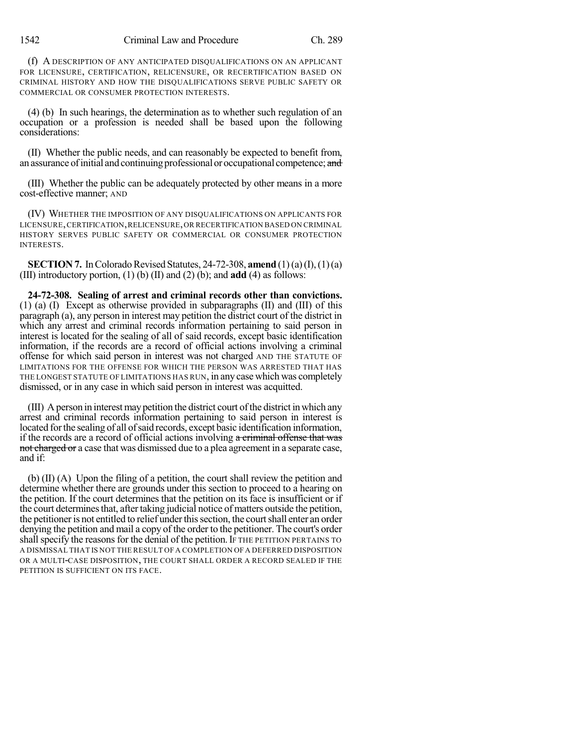(f) A DESCRIPTION OF ANY ANTICIPATED DISQUALIFICATIONS ON AN APPLICANT FOR LICENSURE, CERTIFICATION, RELICENSURE, OR RECERTIFICATION BASED ON CRIMINAL HISTORY AND HOW THE DISQUALIFICATIONS SERVE PUBLIC SAFETY OR COMMERCIAL OR CONSUMER PROTECTION INTERESTS.

(4) (b) In such hearings, the determination as to whether such regulation of an occupation or a profession is needed shall be based upon the following considerations:

(II) Whether the public needs, and can reasonably be expected to benefit from, an assurance of initial and continuing professional or occupational competence; and

(III) Whether the public can be adequately protected by other means in a more cost-effective manner; AND

(IV) WHETHER THE IMPOSITION OF ANY DISQUALIFICATIONS ON APPLICANTS FOR LICENSURE,CERTIFICATION,RELICENSURE,OR RECERTIFICATION BASED ON CRIMINAL HISTORY SERVES PUBLIC SAFETY OR COMMERCIAL OR CONSUMER PROTECTION INTERESTS.

**SECTION 7.** In Colorado Revised Statutes, 24-72-308, **amend**  $(1)(a)(I), (1)(a)$ (III) introductory portion, (1) (b) (II) and (2) (b); and **add** (4) as follows:

**24-72-308. Sealing of arrest and criminal records other than convictions.** (1) (a) (I) Except as otherwise provided in subparagraphs (II) and (III) of this paragraph (a), any person in interest may petition the district court of the district in which any arrest and criminal records information pertaining to said person in interest is located for the sealing of all of said records, except basic identification information, if the records are a record of official actions involving a criminal offense for which said person in interest was not charged AND THE STATUTE OF LIMITATIONS FOR THE OFFENSE FOR WHICH THE PERSON WAS ARRESTED THAT HAS THE LONGEST STATUTE OF LIMITATIONS HAS RUN, in any case which was completely dismissed, or in any case in which said person in interest was acquitted.

(III) Aperson in interestmaypetition the district court ofthe district inwhich any arrest and criminal records information pertaining to said person in interest is located for the sealing of all of said records, except basic identification information, if the records are a record of official actions involving a criminal offense that was not charged or a case that was dismissed due to a plea agreement in a separate case, and if:

(b) (II) (A) Upon the filing of a petition, the court shall review the petition and determine whether there are grounds under this section to proceed to a hearing on the petition. If the court determines that the petition on its face is insufficient or if the court determines that, after taking judicial notice of matters outside the petition, the petitioner is not entitled to relief under this section, the court shall enter an order denying the petition and mail a copy of the order to the petitioner. The court's order shall specify the reasons for the denial of the petition. If THE PETITION PERTAINS TO A DISMISSAL THAT IS NOT THE RESULT OF A COMPLETION OF A DEFERRED DISPOSITION OR A MULTI-CASE DISPOSITION, THE COURT SHALL ORDER A RECORD SEALED IF THE PETITION IS SUFFICIENT ON ITS FACE.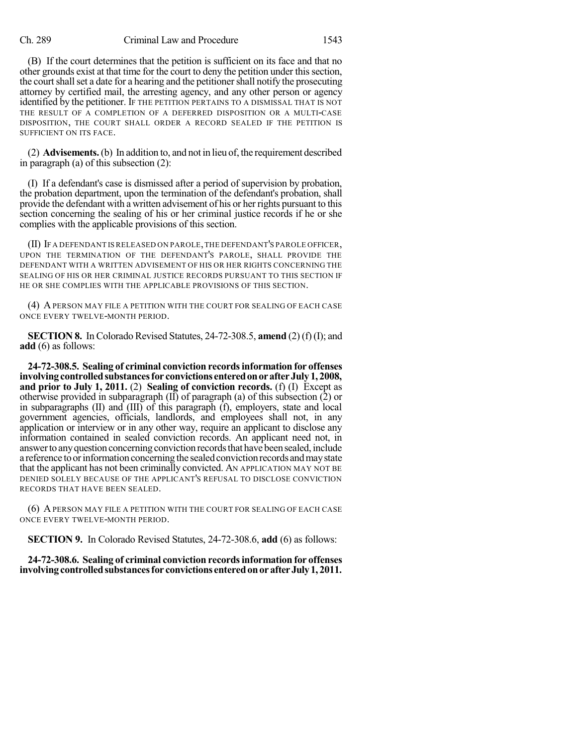#### Ch. 289 Criminal Law and Procedure 1543

(B) If the court determines that the petition is sufficient on its face and that no other grounds exist at that time for the court to deny the petition under this section, the court shall set a date for a hearing and the petitioner shall notify the prosecuting attorney by certified mail, the arresting agency, and any other person or agency identified by the petitioner. IF THE PETITION PERTAINS TO A DISMISSAL THAT IS NOT THE RESULT OF A COMPLETION OF A DEFERRED DISPOSITION OR A MULTI-CASE DISPOSITION, THE COURT SHALL ORDER A RECORD SEALED IF THE PETITION IS SUFFICIENT ON ITS FACE.

(2) **Advisements.**(b) In addition to, and not in lieu of, the requirement described in paragraph (a) of this subsection (2):

(I) If a defendant's case is dismissed after a period of supervision by probation, the probation department, upon the termination of the defendant's probation, shall provide the defendant with a written advisement of his or her rights pursuant to this section concerning the sealing of his or her criminal justice records if he or she complies with the applicable provisions of this section.

(II) IF A DEFENDANT IS RELEASED ON PAROLE,THE DEFENDANT'S PAROLE OFFICER, UPON THE TERMINATION OF THE DEFENDANT'S PAROLE, SHALL PROVIDE THE DEFENDANT WITH A WRITTEN ADVISEMENT OF HIS OR HER RIGHTS CONCERNING THE SEALING OF HIS OR HER CRIMINAL JUSTICE RECORDS PURSUANT TO THIS SECTION IF HE OR SHE COMPLIES WITH THE APPLICABLE PROVISIONS OF THIS SECTION.

(4) APERSON MAY FILE A PETITION WITH THE COURT FOR SEALING OF EACH CASE ONCE EVERY TWELVE-MONTH PERIOD.

**SECTION 8.** In Colorado Revised Statutes, 24-72-308.5, **amend** (2)(f)(I); and **add** (6) as follows:

**24-72-308.5. Sealing of criminal conviction recordsinformation for offenses involvingcontrolledsubstancesfor convictions enteredonorafterJuly1, 2008, and prior to July 1, 2011.** (2) **Sealing of conviction records.** (f) (I) Except as otherwise provided in subparagraph (II) of paragraph (a) of this subsection (2) or in subparagraphs (II) and (III) of this paragraph (f), employers, state and local government agencies, officials, landlords, and employees shall not, in any application or interview or in any other way, require an applicant to disclose any information contained in sealed conviction records. An applicant need not, in answer to any question concerning conviction records that have been sealed, include a reference to or information concerning the sealed conviction records and may state that the applicant has not been criminally convicted. AN APPLICATION MAY NOT BE DENIED SOLELY BECAUSE OF THE APPLICANT'S REFUSAL TO DISCLOSE CONVICTION RECORDS THAT HAVE BEEN SEALED.

(6) APERSON MAY FILE A PETITION WITH THE COURT FOR SEALING OF EACH CASE ONCE EVERY TWELVE-MONTH PERIOD.

**SECTION 9.** In Colorado Revised Statutes, 24-72-308.6, **add** (6) as follows:

**24-72-308.6. Sealing of criminal conviction recordsinformation for offenses involvingcontrolledsubstancesfor convictions enteredonorafterJuly1, 2011.**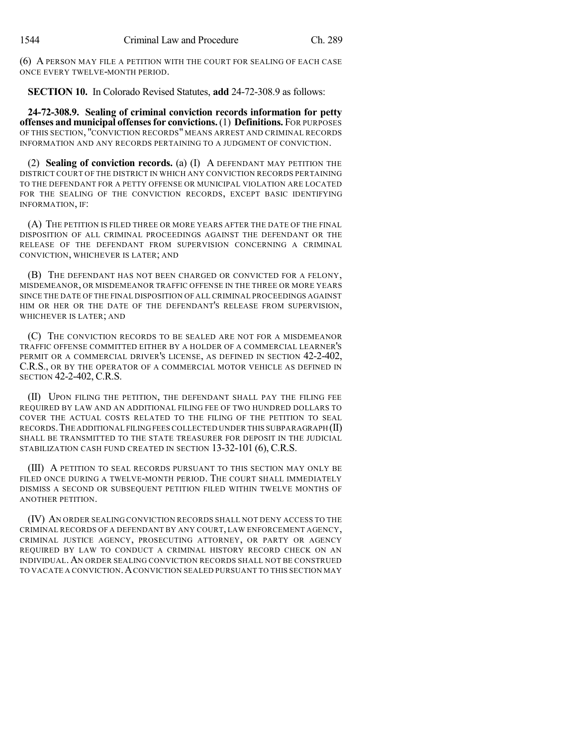(6) A PERSON MAY FILE A PETITION WITH THE COURT FOR SEALING OF EACH CASE ONCE EVERY TWELVE-MONTH PERIOD.

**SECTION 10.** In Colorado Revised Statutes, **add** 24-72-308.9 as follows:

**24-72-308.9. Sealing of criminal conviction records information for petty offenses and municipal offensesfor convictions.**(1) **Definitions.** FOR PURPOSES OF THIS SECTION, "CONVICTION RECORDS" MEANS ARREST AND CRIMINAL RECORDS INFORMATION AND ANY RECORDS PERTAINING TO A JUDGMENT OF CONVICTION.

(2) **Sealing of conviction records.** (a) (I) A DEFENDANT MAY PETITION THE DISTRICT COURT OF THE DISTRICT IN WHICH ANY CONVICTION RECORDS PERTAINING TO THE DEFENDANT FOR A PETTY OFFENSE OR MUNICIPAL VIOLATION ARE LOCATED FOR THE SEALING OF THE CONVICTION RECORDS, EXCEPT BASIC IDENTIFYING INFORMATION, IF:

(A) THE PETITION IS FILED THREE OR MORE YEARS AFTER THE DATE OF THE FINAL DISPOSITION OF ALL CRIMINAL PROCEEDINGS AGAINST THE DEFENDANT OR THE RELEASE OF THE DEFENDANT FROM SUPERVISION CONCERNING A CRIMINAL CONVICTION, WHICHEVER IS LATER; AND

(B) THE DEFENDANT HAS NOT BEEN CHARGED OR CONVICTED FOR A FELONY, MISDEMEANOR, OR MISDEMEANOR TRAFFIC OFFENSE IN THE THREE OR MORE YEARS SINCE THE DATE OF THE FINAL DISPOSITION OF ALL CRIMINAL PROCEEDINGS AGAINST HIM OR HER OR THE DATE OF THE DEFENDANT'S RELEASE FROM SUPERVISION, WHICHEVER IS LATER; AND

(C) THE CONVICTION RECORDS TO BE SEALED ARE NOT FOR A MISDEMEANOR TRAFFIC OFFENSE COMMITTED EITHER BY A HOLDER OF A COMMERCIAL LEARNER'S PERMIT OR A COMMERCIAL DRIVER'S LICENSE, AS DEFINED IN SECTION 42-2-402, C.R.S., OR BY THE OPERATOR OF A COMMERCIAL MOTOR VEHICLE AS DEFINED IN SECTION 42-2-402, C.R.S.

(II) UPON FILING THE PETITION, THE DEFENDANT SHALL PAY THE FILING FEE REQUIRED BY LAW AND AN ADDITIONAL FILING FEE OF TWO HUNDRED DOLLARS TO COVER THE ACTUAL COSTS RELATED TO THE FILING OF THE PETITION TO SEAL RECORDS.THE ADDITIONAL FILING FEES COLLECTED UNDER THIS SUBPARAGRAPH (II) SHALL BE TRANSMITTED TO THE STATE TREASURER FOR DEPOSIT IN THE JUDICIAL STABILIZATION CASH FUND CREATED IN SECTION 13-32-101 (6), C.R.S.

(III) A PETITION TO SEAL RECORDS PURSUANT TO THIS SECTION MAY ONLY BE FILED ONCE DURING A TWELVE-MONTH PERIOD. THE COURT SHALL IMMEDIATELY DISMISS A SECOND OR SUBSEQUENT PETITION FILED WITHIN TWELVE MONTHS OF ANOTHER PETITION.

(IV) AN ORDER SEALING CONVICTION RECORDS SHALL NOT DENY ACCESS TO THE CRIMINAL RECORDS OF A DEFENDANT BY ANY COURT, LAW ENFORCEMENT AGENCY, CRIMINAL JUSTICE AGENCY, PROSECUTING ATTORNEY, OR PARTY OR AGENCY REQUIRED BY LAW TO CONDUCT A CRIMINAL HISTORY RECORD CHECK ON AN INDIVIDUAL.AN ORDER SEALING CONVICTION RECORDS SHALL NOT BE CONSTRUED TO VACATE A CONVICTION.ACONVICTION SEALED PURSUANT TO THIS SECTION MAY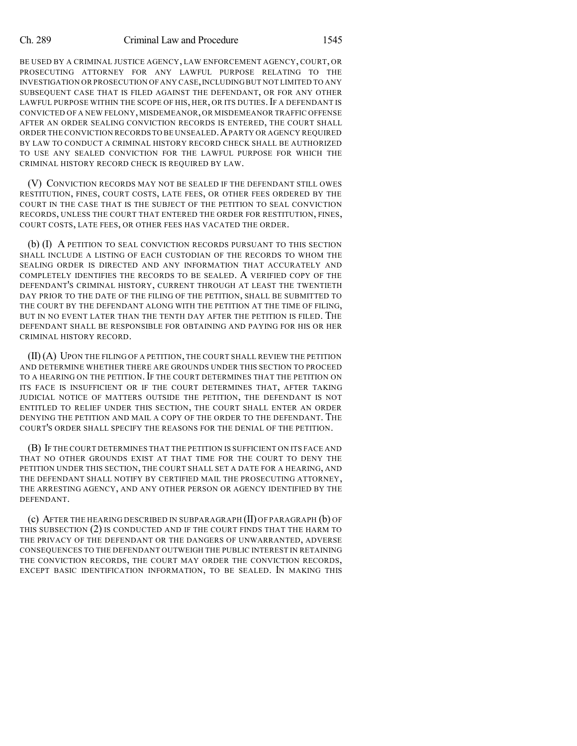#### Ch. 289 Criminal Law and Procedure 1545

BE USED BY A CRIMINAL JUSTICE AGENCY, LAW ENFORCEMENT AGENCY, COURT, OR PROSECUTING ATTORNEY FOR ANY LAWFUL PURPOSE RELATING TO THE INVESTIGATION OR PROSECUTION OF ANY CASE,INCLUDING BUT NOT LIMITED TO ANY SUBSEQUENT CASE THAT IS FILED AGAINST THE DEFENDANT, OR FOR ANY OTHER LAWFUL PURPOSE WITHIN THE SCOPE OF HIS, HER, OR ITS DUTIES. IF A DEFENDANT IS CONVICTED OF A NEW FELONY, MISDEMEANOR, OR MISDEMEANOR TRAFFIC OFFENSE AFTER AN ORDER SEALING CONVICTION RECORDS IS ENTERED, THE COURT SHALL ORDER THE CONVICTION RECORDS TO BE UNSEALED.APARTY OR AGENCY REQUIRED BY LAW TO CONDUCT A CRIMINAL HISTORY RECORD CHECK SHALL BE AUTHORIZED TO USE ANY SEALED CONVICTION FOR THE LAWFUL PURPOSE FOR WHICH THE CRIMINAL HISTORY RECORD CHECK IS REQUIRED BY LAW.

(V) CONVICTION RECORDS MAY NOT BE SEALED IF THE DEFENDANT STILL OWES RESTITUTION, FINES, COURT COSTS, LATE FEES, OR OTHER FEES ORDERED BY THE COURT IN THE CASE THAT IS THE SUBJECT OF THE PETITION TO SEAL CONVICTION RECORDS, UNLESS THE COURT THAT ENTERED THE ORDER FOR RESTITUTION, FINES, COURT COSTS, LATE FEES, OR OTHER FEES HAS VACATED THE ORDER.

(b) (I) A PETITION TO SEAL CONVICTION RECORDS PURSUANT TO THIS SECTION SHALL INCLUDE A LISTING OF EACH CUSTODIAN OF THE RECORDS TO WHOM THE SEALING ORDER IS DIRECTED AND ANY INFORMATION THAT ACCURATELY AND COMPLETELY IDENTIFIES THE RECORDS TO BE SEALED. A VERIFIED COPY OF THE DEFENDANT'S CRIMINAL HISTORY, CURRENT THROUGH AT LEAST THE TWENTIETH DAY PRIOR TO THE DATE OF THE FILING OF THE PETITION, SHALL BE SUBMITTED TO THE COURT BY THE DEFENDANT ALONG WITH THE PETITION AT THE TIME OF FILING, BUT IN NO EVENT LATER THAN THE TENTH DAY AFTER THE PETITION IS FILED. THE DEFENDANT SHALL BE RESPONSIBLE FOR OBTAINING AND PAYING FOR HIS OR HER CRIMINAL HISTORY RECORD.

(II)(A) UPON THE FILING OF A PETITION, THE COURT SHALL REVIEW THE PETITION AND DETERMINE WHETHER THERE ARE GROUNDS UNDER THIS SECTION TO PROCEED TO A HEARING ON THE PETITION. IF THE COURT DETERMINES THAT THE PETITION ON ITS FACE IS INSUFFICIENT OR IF THE COURT DETERMINES THAT, AFTER TAKING JUDICIAL NOTICE OF MATTERS OUTSIDE THE PETITION, THE DEFENDANT IS NOT ENTITLED TO RELIEF UNDER THIS SECTION, THE COURT SHALL ENTER AN ORDER DENYING THE PETITION AND MAIL A COPY OF THE ORDER TO THE DEFENDANT. THE COURT'S ORDER SHALL SPECIFY THE REASONS FOR THE DENIAL OF THE PETITION.

(B) IF THE COURT DETERMINES THAT THE PETITION IS SUFFICIENT ON ITS FACE AND THAT NO OTHER GROUNDS EXIST AT THAT TIME FOR THE COURT TO DENY THE PETITION UNDER THIS SECTION, THE COURT SHALL SET A DATE FOR A HEARING, AND THE DEFENDANT SHALL NOTIFY BY CERTIFIED MAIL THE PROSECUTING ATTORNEY, THE ARRESTING AGENCY, AND ANY OTHER PERSON OR AGENCY IDENTIFIED BY THE DEFENDANT.

(c) AFTER THE HEARING DESCRIBED IN SUBPARAGRAPH (II) OF PARAGRAPH (b) OF THIS SUBSECTION (2) IS CONDUCTED AND IF THE COURT FINDS THAT THE HARM TO THE PRIVACY OF THE DEFENDANT OR THE DANGERS OF UNWARRANTED, ADVERSE CONSEQUENCES TO THE DEFENDANT OUTWEIGH THE PUBLIC INTEREST IN RETAINING THE CONVICTION RECORDS, THE COURT MAY ORDER THE CONVICTION RECORDS, EXCEPT BASIC IDENTIFICATION INFORMATION, TO BE SEALED. IN MAKING THIS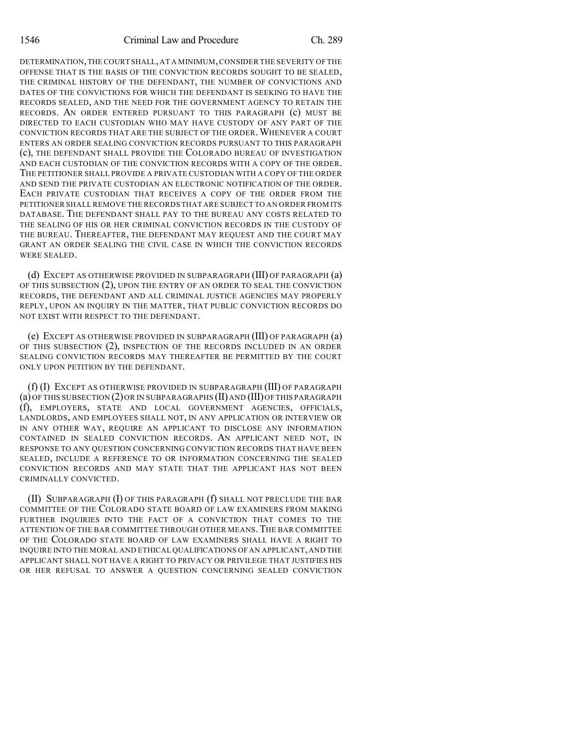DETERMINATION,THE COURT SHALL,AT A MINIMUM,CONSIDER THE SEVERITY OF THE OFFENSE THAT IS THE BASIS OF THE CONVICTION RECORDS SOUGHT TO BE SEALED, THE CRIMINAL HISTORY OF THE DEFENDANT, THE NUMBER OF CONVICTIONS AND DATES OF THE CONVICTIONS FOR WHICH THE DEFENDANT IS SEEKING TO HAVE THE RECORDS SEALED, AND THE NEED FOR THE GOVERNMENT AGENCY TO RETAIN THE RECORDS. AN ORDER ENTERED PURSUANT TO THIS PARAGRAPH (c) MUST BE DIRECTED TO EACH CUSTODIAN WHO MAY HAVE CUSTODY OF ANY PART OF THE CONVICTION RECORDS THAT ARE THE SUBJECT OF THE ORDER. WHENEVER A COURT ENTERS AN ORDER SEALING CONVICTION RECORDS PURSUANT TO THIS PARAGRAPH (c), THE DEFENDANT SHALL PROVIDE THE COLORADO BUREAU OF INVESTIGATION AND EACH CUSTODIAN OF THE CONVICTION RECORDS WITH A COPY OF THE ORDER. THE PETITIONER SHALL PROVIDE A PRIVATE CUSTODIAN WITH A COPY OF THE ORDER AND SEND THE PRIVATE CUSTODIAN AN ELECTRONIC NOTIFICATION OF THE ORDER. EACH PRIVATE CUSTODIAN THAT RECEIVES A COPY OF THE ORDER FROM THE PETITIONER SHALL REMOVE THE RECORDS THAT ARE SUBJECT TO AN ORDER FROM ITS DATABASE. THE DEFENDANT SHALL PAY TO THE BUREAU ANY COSTS RELATED TO THE SEALING OF HIS OR HER CRIMINAL CONVICTION RECORDS IN THE CUSTODY OF THE BUREAU. THEREAFTER, THE DEFENDANT MAY REQUEST AND THE COURT MAY GRANT AN ORDER SEALING THE CIVIL CASE IN WHICH THE CONVICTION RECORDS WERE SEALED.

(d) EXCEPT AS OTHERWISE PROVIDED IN SUBPARAGRAPH (III) OF PARAGRAPH (a) OF THIS SUBSECTION (2), UPON THE ENTRY OF AN ORDER TO SEAL THE CONVICTION RECORDS, THE DEFENDANT AND ALL CRIMINAL JUSTICE AGENCIES MAY PROPERLY REPLY, UPON AN INQUIRY IN THE MATTER, THAT PUBLIC CONVICTION RECORDS DO NOT EXIST WITH RESPECT TO THE DEFENDANT.

(e) EXCEPT AS OTHERWISE PROVIDED IN SUBPARAGRAPH (III) OF PARAGRAPH (a) OF THIS SUBSECTION (2), INSPECTION OF THE RECORDS INCLUDED IN AN ORDER SEALING CONVICTION RECORDS MAY THEREAFTER BE PERMITTED BY THE COURT ONLY UPON PETITION BY THE DEFENDANT.

(f) (I) EXCEPT AS OTHERWISE PROVIDED IN SUBPARAGRAPH (III) OF PARAGRAPH  $(a)$  OF THIS SUBSECTION  $(2)$  OR IN SUBPARAGRAPHS  $(II)$  AND  $(III)$  OF THIS PARAGRAPH (f), EMPLOYERS, STATE AND LOCAL GOVERNMENT AGENCIES, OFFICIALS, LANDLORDS, AND EMPLOYEES SHALL NOT, IN ANY APPLICATION OR INTERVIEW OR IN ANY OTHER WAY, REQUIRE AN APPLICANT TO DISCLOSE ANY INFORMATION CONTAINED IN SEALED CONVICTION RECORDS. AN APPLICANT NEED NOT, IN RESPONSE TO ANY QUESTION CONCERNING CONVICTION RECORDS THAT HAVE BEEN SEALED, INCLUDE A REFERENCE TO OR INFORMATION CONCERNING THE SEALED CONVICTION RECORDS AND MAY STATE THAT THE APPLICANT HAS NOT BEEN CRIMINALLY CONVICTED.

(II) SUBPARAGRAPH (I) OF THIS PARAGRAPH (f) SHALL NOT PRECLUDE THE BAR COMMITTEE OF THE COLORADO STATE BOARD OF LAW EXAMINERS FROM MAKING FURTHER INQUIRIES INTO THE FACT OF A CONVICTION THAT COMES TO THE ATTENTION OF THE BAR COMMITTEE THROUGH OTHER MEANS.THE BAR COMMITTEE OF THE COLORADO STATE BOARD OF LAW EXAMINERS SHALL HAVE A RIGHT TO INQUIRE INTO THE MORAL AND ETHICAL QUALIFICATIONS OF AN APPLICANT,AND THE APPLICANT SHALL NOT HAVE A RIGHT TO PRIVACY OR PRIVILEGE THAT JUSTIFIES HIS OR HER REFUSAL TO ANSWER A QUESTION CONCERNING SEALED CONVICTION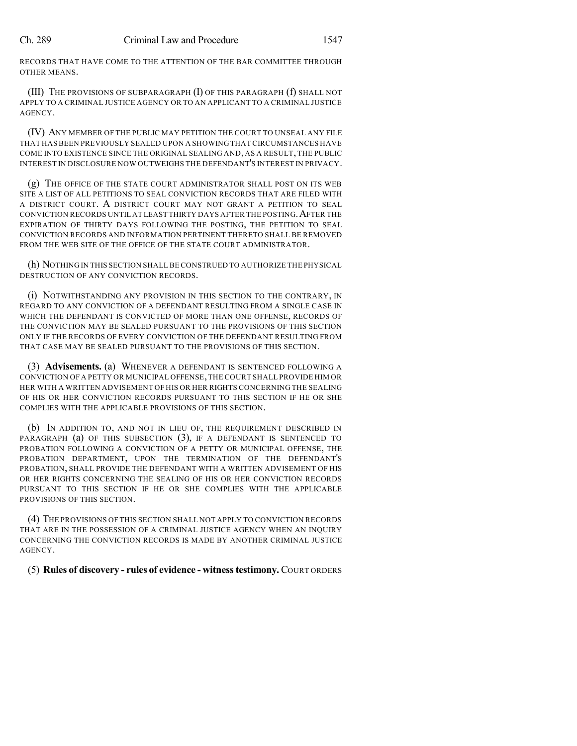RECORDS THAT HAVE COME TO THE ATTENTION OF THE BAR COMMITTEE THROUGH OTHER MEANS.

(III) THE PROVISIONS OF SUBPARAGRAPH (I) OF THIS PARAGRAPH (f) SHALL NOT APPLY TO A CRIMINAL JUSTICE AGENCY OR TO AN APPLICANT TO A CRIMINAL JUSTICE AGENCY.

(IV) ANY MEMBER OF THE PUBLIC MAY PETITION THE COURT TO UNSEAL ANY FILE THAT HAS BEEN PREVIOUSLY SEALED UPON A SHOWING THAT CIRCUMSTANCES HAVE COME INTO EXISTENCE SINCE THE ORIGINAL SEALING AND, AS A RESULT, THE PUBLIC INTEREST IN DISCLOSURE NOW OUTWEIGHS THE DEFENDANT'S INTEREST IN PRIVACY.

(g) THE OFFICE OF THE STATE COURT ADMINISTRATOR SHALL POST ON ITS WEB SITE A LIST OF ALL PETITIONS TO SEAL CONVICTION RECORDS THAT ARE FILED WITH A DISTRICT COURT. A DISTRICT COURT MAY NOT GRANT A PETITION TO SEAL CONVICTION RECORDS UNTIL AT LEAST THIRTY DAYS AFTER THE POSTING.AFTER THE EXPIRATION OF THIRTY DAYS FOLLOWING THE POSTING, THE PETITION TO SEAL CONVICTION RECORDS AND INFORMATION PERTINENT THERETO SHALL BE REMOVED FROM THE WEB SITE OF THE OFFICE OF THE STATE COURT ADMINISTRATOR.

(h) NOTHING IN THIS SECTION SHALL BE CONSTRUED TO AUTHORIZE THE PHYSICAL DESTRUCTION OF ANY CONVICTION RECORDS.

(i) NOTWITHSTANDING ANY PROVISION IN THIS SECTION TO THE CONTRARY, IN REGARD TO ANY CONVICTION OF A DEFENDANT RESULTING FROM A SINGLE CASE IN WHICH THE DEFENDANT IS CONVICTED OF MORE THAN ONE OFFENSE, RECORDS OF THE CONVICTION MAY BE SEALED PURSUANT TO THE PROVISIONS OF THIS SECTION ONLY IF THE RECORDS OF EVERY CONVICTION OF THE DEFENDANT RESULTING FROM THAT CASE MAY BE SEALED PURSUANT TO THE PROVISIONS OF THIS SECTION.

(3) **Advisements.** (a) WHENEVER A DEFENDANT IS SENTENCED FOLLOWING A CONVICTION OF A PETTY OR MUNICIPAL OFFENSE,THE COURT SHALL PROVIDE HIM OR HER WITH A WRITTEN ADVISEMENT OF HIS OR HER RIGHTS CONCERNING THE SEALING OF HIS OR HER CONVICTION RECORDS PURSUANT TO THIS SECTION IF HE OR SHE COMPLIES WITH THE APPLICABLE PROVISIONS OF THIS SECTION.

(b) IN ADDITION TO, AND NOT IN LIEU OF, THE REQUIREMENT DESCRIBED IN PARAGRAPH (a) OF THIS SUBSECTION (3), IF A DEFENDANT IS SENTENCED TO PROBATION FOLLOWING A CONVICTION OF A PETTY OR MUNICIPAL OFFENSE, THE PROBATION DEPARTMENT, UPON THE TERMINATION OF THE DEFENDANT'S PROBATION, SHALL PROVIDE THE DEFENDANT WITH A WRITTEN ADVISEMENT OF HIS OR HER RIGHTS CONCERNING THE SEALING OF HIS OR HER CONVICTION RECORDS PURSUANT TO THIS SECTION IF HE OR SHE COMPLIES WITH THE APPLICABLE PROVISIONS OF THIS SECTION.

(4) THE PROVISIONS OF THIS SECTION SHALL NOT APPLY TO CONVICTION RECORDS THAT ARE IN THE POSSESSION OF A CRIMINAL JUSTICE AGENCY WHEN AN INQUIRY CONCERNING THE CONVICTION RECORDS IS MADE BY ANOTHER CRIMINAL JUSTICE AGENCY.

(5) **Rules of discovery - rules of evidence - witnesstestimony.** COURT ORDERS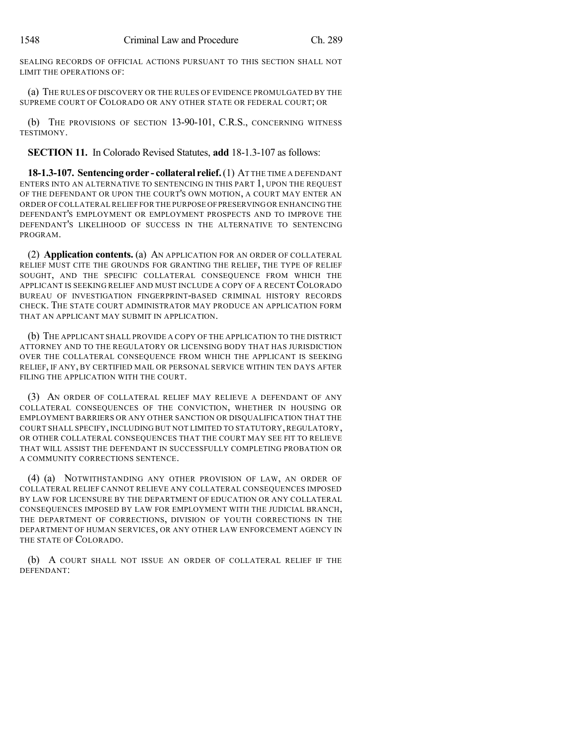SEALING RECORDS OF OFFICIAL ACTIONS PURSUANT TO THIS SECTION SHALL NOT LIMIT THE OPERATIONS OF:

(a) THE RULES OF DISCOVERY OR THE RULES OF EVIDENCE PROMULGATED BY THE SUPREME COURT OF COLORADO OR ANY OTHER STATE OR FEDERAL COURT; OR

(b) THE PROVISIONS OF SECTION 13-90-101, C.R.S., CONCERNING WITNESS **TESTIMONY** 

**SECTION 11.** In Colorado Revised Statutes, **add** 18-1.3-107 as follows:

**18-1.3-107. Sentencing order - collateral relief.**(1) AT THE TIME A DEFENDANT ENTERS INTO AN ALTERNATIVE TO SENTENCING IN THIS PART 1, UPON THE REQUEST OF THE DEFENDANT OR UPON THE COURT'S OWN MOTION, A COURT MAY ENTER AN ORDER OF COLLATERALRELIEF FOR THE PURPOSE OFPRESERVINGOR ENHANCING THE DEFENDANT'S EMPLOYMENT OR EMPLOYMENT PROSPECTS AND TO IMPROVE THE DEFENDANT'S LIKELIHOOD OF SUCCESS IN THE ALTERNATIVE TO SENTENCING PROGRAM.

(2) **Application contents.** (a) AN APPLICATION FOR AN ORDER OF COLLATERAL RELIEF MUST CITE THE GROUNDS FOR GRANTING THE RELIEF, THE TYPE OF RELIEF SOUGHT, AND THE SPECIFIC COLLATERAL CONSEQUENCE FROM WHICH THE APPLICANT IS SEEKING RELIEF AND MUST INCLUDE A COPY OF A RECENT COLORADO BUREAU OF INVESTIGATION FINGERPRINT-BASED CRIMINAL HISTORY RECORDS CHECK. THE STATE COURT ADMINISTRATOR MAY PRODUCE AN APPLICATION FORM THAT AN APPLICANT MAY SUBMIT IN APPLICATION.

(b) THE APPLICANT SHALL PROVIDE A COPY OF THE APPLICATION TO THE DISTRICT ATTORNEY AND TO THE REGULATORY OR LICENSING BODY THAT HAS JURISDICTION OVER THE COLLATERAL CONSEQUENCE FROM WHICH THE APPLICANT IS SEEKING RELIEF, IF ANY, BY CERTIFIED MAIL OR PERSONAL SERVICE WITHIN TEN DAYS AFTER FILING THE APPLICATION WITH THE COURT.

(3) AN ORDER OF COLLATERAL RELIEF MAY RELIEVE A DEFENDANT OF ANY COLLATERAL CONSEQUENCES OF THE CONVICTION, WHETHER IN HOUSING OR EMPLOYMENT BARRIERS OR ANY OTHER SANCTION OR DISQUALIFICATION THAT THE COURT SHALL SPECIFY, INCLUDING BUT NOT LIMITED TO STATUTORY, REGULATORY, OR OTHER COLLATERAL CONSEQUENCES THAT THE COURT MAY SEE FIT TO RELIEVE THAT WILL ASSIST THE DEFENDANT IN SUCCESSFULLY COMPLETING PROBATION OR A COMMUNITY CORRECTIONS SENTENCE.

(4) (a) NOTWITHSTANDING ANY OTHER PROVISION OF LAW, AN ORDER OF COLLATERAL RELIEF CANNOT RELIEVE ANY COLLATERAL CONSEQUENCES IMPOSED BY LAW FOR LICENSURE BY THE DEPARTMENT OF EDUCATION OR ANY COLLATERAL CONSEQUENCES IMPOSED BY LAW FOR EMPLOYMENT WITH THE JUDICIAL BRANCH, THE DEPARTMENT OF CORRECTIONS, DIVISION OF YOUTH CORRECTIONS IN THE DEPARTMENT OF HUMAN SERVICES, OR ANY OTHER LAW ENFORCEMENT AGENCY IN THE STATE OF COLORADO.

(b) A COURT SHALL NOT ISSUE AN ORDER OF COLLATERAL RELIEF IF THE DEFENDANT: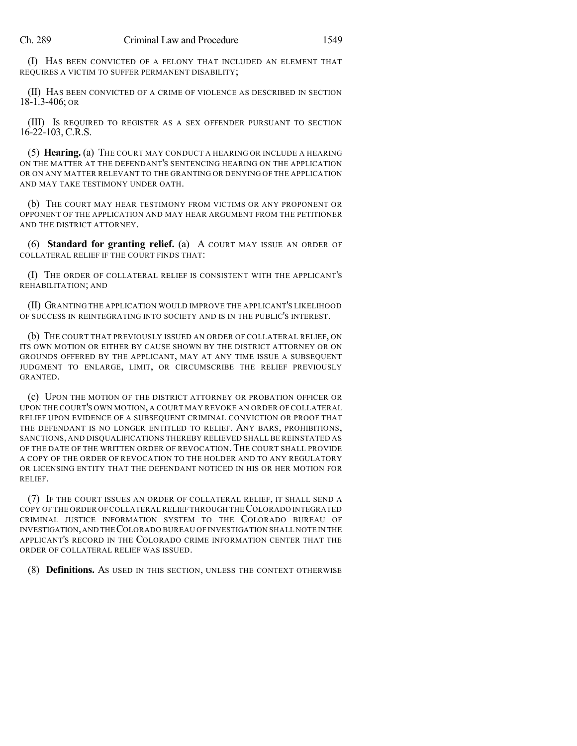(I) HAS BEEN CONVICTED OF A FELONY THAT INCLUDED AN ELEMENT THAT REQUIRES A VICTIM TO SUFFER PERMANENT DISABILITY;

(II) HAS BEEN CONVICTED OF A CRIME OF VIOLENCE AS DESCRIBED IN SECTION 18-1.3-406; OR

(III) IS REQUIRED TO REGISTER AS A SEX OFFENDER PURSUANT TO SECTION 16-22-103, C.R.S.

(5) **Hearing.** (a) THE COURT MAY CONDUCT A HEARING OR INCLUDE A HEARING ON THE MATTER AT THE DEFENDANT'S SENTENCING HEARING ON THE APPLICATION OR ON ANY MATTER RELEVANT TO THE GRANTING OR DENYING OF THE APPLICATION AND MAY TAKE TESTIMONY UNDER OATH.

(b) THE COURT MAY HEAR TESTIMONY FROM VICTIMS OR ANY PROPONENT OR OPPONENT OF THE APPLICATION AND MAY HEAR ARGUMENT FROM THE PETITIONER AND THE DISTRICT ATTORNEY.

(6) **Standard for granting relief.** (a) A COURT MAY ISSUE AN ORDER OF COLLATERAL RELIEF IF THE COURT FINDS THAT:

(I) THE ORDER OF COLLATERAL RELIEF IS CONSISTENT WITH THE APPLICANT'S REHABILITATION; AND

(II) GRANTING THE APPLICATION WOULD IMPROVE THE APPLICANT'S LIKELIHOOD OF SUCCESS IN REINTEGRATING INTO SOCIETY AND IS IN THE PUBLIC'S INTEREST.

(b) THE COURT THAT PREVIOUSLY ISSUED AN ORDER OF COLLATERAL RELIEF, ON ITS OWN MOTION OR EITHER BY CAUSE SHOWN BY THE DISTRICT ATTORNEY OR ON GROUNDS OFFERED BY THE APPLICANT, MAY AT ANY TIME ISSUE A SUBSEQUENT JUDGMENT TO ENLARGE, LIMIT, OR CIRCUMSCRIBE THE RELIEF PREVIOUSLY GRANTED.

(c) UPON THE MOTION OF THE DISTRICT ATTORNEY OR PROBATION OFFICER OR UPON THE COURT'S OWN MOTION, A COURT MAY REVOKE AN ORDER OF COLLATERAL RELIEF UPON EVIDENCE OF A SUBSEQUENT CRIMINAL CONVICTION OR PROOF THAT THE DEFENDANT IS NO LONGER ENTITLED TO RELIEF. ANY BARS, PROHIBITIONS, SANCTIONS, AND DISQUALIFICATIONS THEREBY RELIEVED SHALL BE REINSTATED AS OF THE DATE OF THE WRITTEN ORDER OF REVOCATION. THE COURT SHALL PROVIDE A COPY OF THE ORDER OF REVOCATION TO THE HOLDER AND TO ANY REGULATORY OR LICENSING ENTITY THAT THE DEFENDANT NOTICED IN HIS OR HER MOTION FOR RELIEF.

(7) IF THE COURT ISSUES AN ORDER OF COLLATERAL RELIEF, IT SHALL SEND A COPY OF THE ORDER OF COLLATERALRELIEF THROUGH THECOLORADO INTEGRATED CRIMINAL JUSTICE INFORMATION SYSTEM TO THE COLORADO BUREAU OF INVESTIGATION,AND THECOLORADO BUREAU OF INVESTIGATION SHALL NOTE IN THE APPLICANT'S RECORD IN THE COLORADO CRIME INFORMATION CENTER THAT THE ORDER OF COLLATERAL RELIEF WAS ISSUED.

(8) **Definitions.** AS USED IN THIS SECTION, UNLESS THE CONTEXT OTHERWISE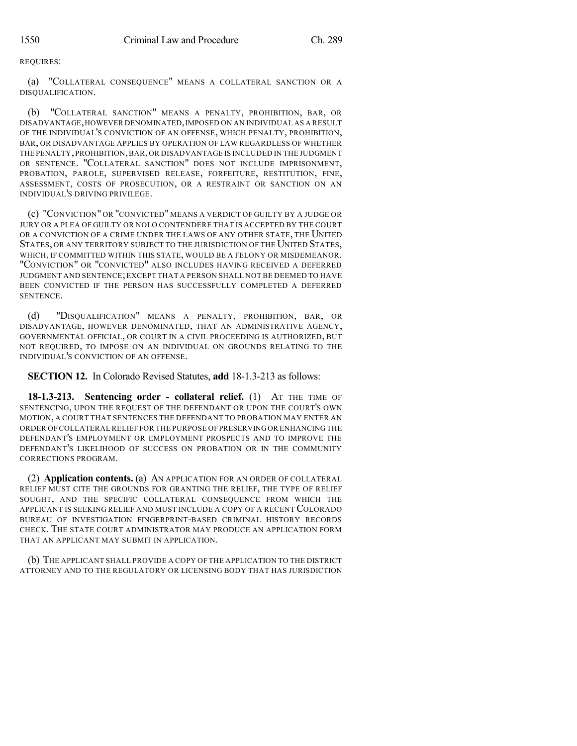REQUIRES:

(a) "COLLATERAL CONSEQUENCE" MEANS A COLLATERAL SANCTION OR A DISQUALIFICATION.

(b) "COLLATERAL SANCTION" MEANS A PENALTY, PROHIBITION, BAR, OR DISADVANTAGE,HOWEVER DENOMINATED,IMPOSED ON AN INDIVIDUAL AS A RESULT OF THE INDIVIDUAL'S CONVICTION OF AN OFFENSE, WHICH PENALTY, PROHIBITION, BAR, OR DISADVANTAGE APPLIES BY OPERATION OF LAW REGARDLESS OF WHETHER THE PENALTY,PROHIBITION,BAR,OR DISADVANTAGE IS INCLUDED IN THE JUDGMENT OR SENTENCE. "COLLATERAL SANCTION" DOES NOT INCLUDE IMPRISONMENT, PROBATION, PAROLE, SUPERVISED RELEASE, FORFEITURE, RESTITUTION, FINE, ASSESSMENT, COSTS OF PROSECUTION, OR A RESTRAINT OR SANCTION ON AN INDIVIDUAL'S DRIVING PRIVILEGE.

(c) "CONVICTION" OR "CONVICTED" MEANS A VERDICT OF GUILTY BY A JUDGE OR JURY OR A PLEA OF GUILTY OR NOLO CONTENDERE THAT IS ACCEPTED BY THE COURT OR A CONVICTION OF A CRIME UNDER THE LAWS OF ANY OTHER STATE, THE UNITED STATES, OR ANY TERRITORY SUBJECT TO THE JURISDICTION OF THE UNITED STATES, WHICH, IF COMMITTED WITHIN THIS STATE, WOULD BE A FELONY OR MISDEMEANOR. "CONVICTION" OR "CONVICTED" ALSO INCLUDES HAVING RECEIVED A DEFERRED JUDGMENT AND SENTENCE;EXCEPT THAT A PERSON SHALL NOT BE DEEMED TO HAVE BEEN CONVICTED IF THE PERSON HAS SUCCESSFULLY COMPLETED A DEFERRED SENTENCE.

(d) "DISQUALIFICATION" MEANS A PENALTY, PROHIBITION, BAR, OR DISADVANTAGE, HOWEVER DENOMINATED, THAT AN ADMINISTRATIVE AGENCY, GOVERNMENTAL OFFICIAL, OR COURT IN A CIVIL PROCEEDING IS AUTHORIZED, BUT NOT REQUIRED, TO IMPOSE ON AN INDIVIDUAL ON GROUNDS RELATING TO THE INDIVIDUAL'S CONVICTION OF AN OFFENSE.

**SECTION 12.** In Colorado Revised Statutes, **add** 18-1.3-213 as follows:

**18-1.3-213. Sentencing order - collateral relief.** (1) AT THE TIME OF SENTENCING, UPON THE REQUEST OF THE DEFENDANT OR UPON THE COURT'S OWN MOTION, A COURT THAT SENTENCES THE DEFENDANT TO PROBATION MAY ENTER AN ORDER OF COLLATERALRELIEF FOR THE PURPOSE OFPRESERVINGOR ENHANCING THE DEFENDANT'S EMPLOYMENT OR EMPLOYMENT PROSPECTS AND TO IMPROVE THE DEFENDANT'S LIKELIHOOD OF SUCCESS ON PROBATION OR IN THE COMMUNITY CORRECTIONS PROGRAM.

(2) **Application contents.** (a) AN APPLICATION FOR AN ORDER OF COLLATERAL RELIEF MUST CITE THE GROUNDS FOR GRANTING THE RELIEF, THE TYPE OF RELIEF SOUGHT, AND THE SPECIFIC COLLATERAL CONSEQUENCE FROM WHICH THE APPLICANT IS SEEKING RELIEF AND MUST INCLUDE A COPY OF A RECENT COLORADO BUREAU OF INVESTIGATION FINGERPRINT-BASED CRIMINAL HISTORY RECORDS CHECK. THE STATE COURT ADMINISTRATOR MAY PRODUCE AN APPLICATION FORM THAT AN APPLICANT MAY SUBMIT IN APPLICATION.

(b) THE APPLICANT SHALL PROVIDE A COPY OF THE APPLICATION TO THE DISTRICT ATTORNEY AND TO THE REGULATORY OR LICENSING BODY THAT HAS JURISDICTION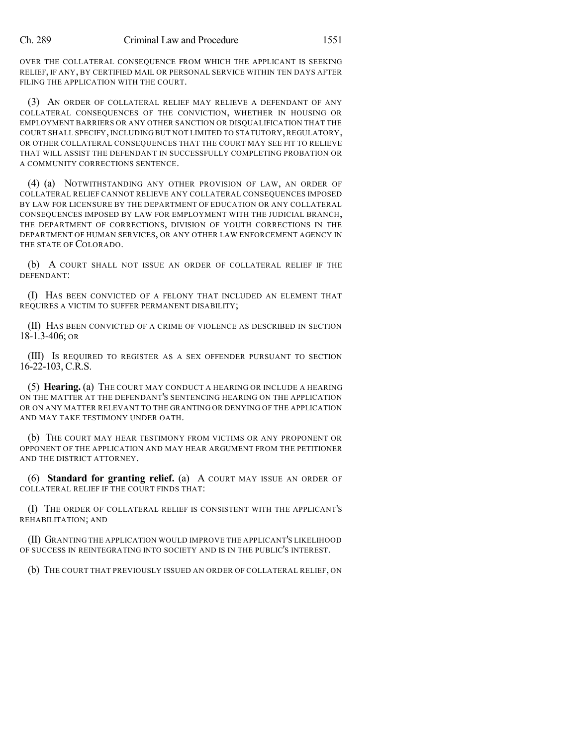OVER THE COLLATERAL CONSEQUENCE FROM WHICH THE APPLICANT IS SEEKING RELIEF, IF ANY, BY CERTIFIED MAIL OR PERSONAL SERVICE WITHIN TEN DAYS AFTER FILING THE APPLICATION WITH THE COURT.

(3) AN ORDER OF COLLATERAL RELIEF MAY RELIEVE A DEFENDANT OF ANY COLLATERAL CONSEQUENCES OF THE CONVICTION, WHETHER IN HOUSING OR EMPLOYMENT BARRIERS OR ANY OTHER SANCTION OR DISQUALIFICATION THAT THE COURT SHALL SPECIFY, INCLUDING BUT NOT LIMITED TO STATUTORY, REGULATORY, OR OTHER COLLATERAL CONSEQUENCES THAT THE COURT MAY SEE FIT TO RELIEVE THAT WILL ASSIST THE DEFENDANT IN SUCCESSFULLY COMPLETING PROBATION OR A COMMUNITY CORRECTIONS SENTENCE.

(4) (a) NOTWITHSTANDING ANY OTHER PROVISION OF LAW, AN ORDER OF COLLATERAL RELIEF CANNOT RELIEVE ANY COLLATERAL CONSEQUENCES IMPOSED BY LAW FOR LICENSURE BY THE DEPARTMENT OF EDUCATION OR ANY COLLATERAL CONSEQUENCES IMPOSED BY LAW FOR EMPLOYMENT WITH THE JUDICIAL BRANCH, THE DEPARTMENT OF CORRECTIONS, DIVISION OF YOUTH CORRECTIONS IN THE DEPARTMENT OF HUMAN SERVICES, OR ANY OTHER LAW ENFORCEMENT AGENCY IN THE STATE OF COLORADO.

(b) A COURT SHALL NOT ISSUE AN ORDER OF COLLATERAL RELIEF IF THE DEFENDANT:

(I) HAS BEEN CONVICTED OF A FELONY THAT INCLUDED AN ELEMENT THAT REQUIRES A VICTIM TO SUFFER PERMANENT DISABILITY;

(II) HAS BEEN CONVICTED OF A CRIME OF VIOLENCE AS DESCRIBED IN SECTION 18-1.3-406; OR

(III) IS REQUIRED TO REGISTER AS A SEX OFFENDER PURSUANT TO SECTION 16-22-103, C.R.S.

(5) **Hearing.** (a) THE COURT MAY CONDUCT A HEARING OR INCLUDE A HEARING ON THE MATTER AT THE DEFENDANT'S SENTENCING HEARING ON THE APPLICATION OR ON ANY MATTER RELEVANT TO THE GRANTING OR DENYING OF THE APPLICATION AND MAY TAKE TESTIMONY UNDER OATH.

(b) THE COURT MAY HEAR TESTIMONY FROM VICTIMS OR ANY PROPONENT OR OPPONENT OF THE APPLICATION AND MAY HEAR ARGUMENT FROM THE PETITIONER AND THE DISTRICT ATTORNEY.

(6) **Standard for granting relief.** (a) A COURT MAY ISSUE AN ORDER OF COLLATERAL RELIEF IF THE COURT FINDS THAT:

(I) THE ORDER OF COLLATERAL RELIEF IS CONSISTENT WITH THE APPLICANT'S REHABILITATION; AND

(II) GRANTING THE APPLICATION WOULD IMPROVE THE APPLICANT'S LIKELIHOOD OF SUCCESS IN REINTEGRATING INTO SOCIETY AND IS IN THE PUBLIC'S INTEREST.

(b) THE COURT THAT PREVIOUSLY ISSUED AN ORDER OF COLLATERAL RELIEF, ON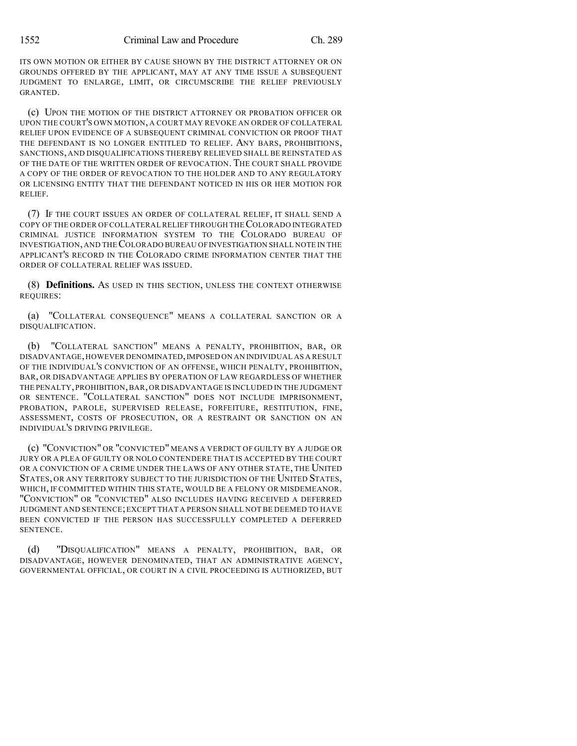ITS OWN MOTION OR EITHER BY CAUSE SHOWN BY THE DISTRICT ATTORNEY OR ON GROUNDS OFFERED BY THE APPLICANT, MAY AT ANY TIME ISSUE A SUBSEQUENT JUDGMENT TO ENLARGE, LIMIT, OR CIRCUMSCRIBE THE RELIEF PREVIOUSLY GRANTED.

(c) UPON THE MOTION OF THE DISTRICT ATTORNEY OR PROBATION OFFICER OR UPON THE COURT'S OWN MOTION, A COURT MAY REVOKE AN ORDER OF COLLATERAL RELIEF UPON EVIDENCE OF A SUBSEQUENT CRIMINAL CONVICTION OR PROOF THAT THE DEFENDANT IS NO LONGER ENTITLED TO RELIEF. ANY BARS, PROHIBITIONS, SANCTIONS, AND DISQUALIFICATIONS THEREBY RELIEVED SHALL BE REINSTATED AS OF THE DATE OF THE WRITTEN ORDER OF REVOCATION. THE COURT SHALL PROVIDE A COPY OF THE ORDER OF REVOCATION TO THE HOLDER AND TO ANY REGULATORY OR LICENSING ENTITY THAT THE DEFENDANT NOTICED IN HIS OR HER MOTION FOR RELIEF.

(7) IF THE COURT ISSUES AN ORDER OF COLLATERAL RELIEF, IT SHALL SEND A COPY OF THE ORDER OF COLLATERALRELIEF THROUGH THECOLORADO INTEGRATED CRIMINAL JUSTICE INFORMATION SYSTEM TO THE COLORADO BUREAU OF INVESTIGATION,AND THECOLORADO BUREAU OFINVESTIGATION SHALL NOTE IN THE APPLICANT'S RECORD IN THE COLORADO CRIME INFORMATION CENTER THAT THE ORDER OF COLLATERAL RELIEF WAS ISSUED.

(8) **Definitions.** AS USED IN THIS SECTION, UNLESS THE CONTEXT OTHERWISE REQUIRES:

(a) "COLLATERAL CONSEQUENCE" MEANS A COLLATERAL SANCTION OR A DISQUALIFICATION.

(b) "COLLATERAL SANCTION" MEANS A PENALTY, PROHIBITION, BAR, OR DISADVANTAGE,HOWEVER DENOMINATED,IMPOSED ON AN INDIVIDUAL AS A RESULT OF THE INDIVIDUAL'S CONVICTION OF AN OFFENSE, WHICH PENALTY, PROHIBITION, BAR, OR DISADVANTAGE APPLIES BY OPERATION OF LAW REGARDLESS OF WHETHER THE PENALTY,PROHIBITION,BAR,OR DISADVANTAGE IS INCLUDED IN THE JUDGMENT OR SENTENCE. "COLLATERAL SANCTION" DOES NOT INCLUDE IMPRISONMENT, PROBATION, PAROLE, SUPERVISED RELEASE, FORFEITURE, RESTITUTION, FINE, ASSESSMENT, COSTS OF PROSECUTION, OR A RESTRAINT OR SANCTION ON AN INDIVIDUAL'S DRIVING PRIVILEGE.

(c) "CONVICTION" OR "CONVICTED" MEANS A VERDICT OF GUILTY BY A JUDGE OR JURY OR A PLEA OF GUILTY OR NOLO CONTENDERE THAT IS ACCEPTED BY THE COURT OR A CONVICTION OF A CRIME UNDER THE LAWS OF ANY OTHER STATE, THE UNITED STATES, OR ANY TERRITORY SUBJECT TO THE JURISDICTION OF THE UNITED STATES, WHICH, IF COMMITTED WITHIN THIS STATE, WOULD BE A FELONY OR MISDEMEANOR. "CONVICTION" OR "CONVICTED" ALSO INCLUDES HAVING RECEIVED A DEFERRED JUDGMENT AND SENTENCE;EXCEPT THAT A PERSON SHALL NOT BE DEEMED TO HAVE BEEN CONVICTED IF THE PERSON HAS SUCCESSFULLY COMPLETED A DEFERRED SENTENCE.

(d) "DISQUALIFICATION" MEANS A PENALTY, PROHIBITION, BAR, OR DISADVANTAGE, HOWEVER DENOMINATED, THAT AN ADMINISTRATIVE AGENCY, GOVERNMENTAL OFFICIAL, OR COURT IN A CIVIL PROCEEDING IS AUTHORIZED, BUT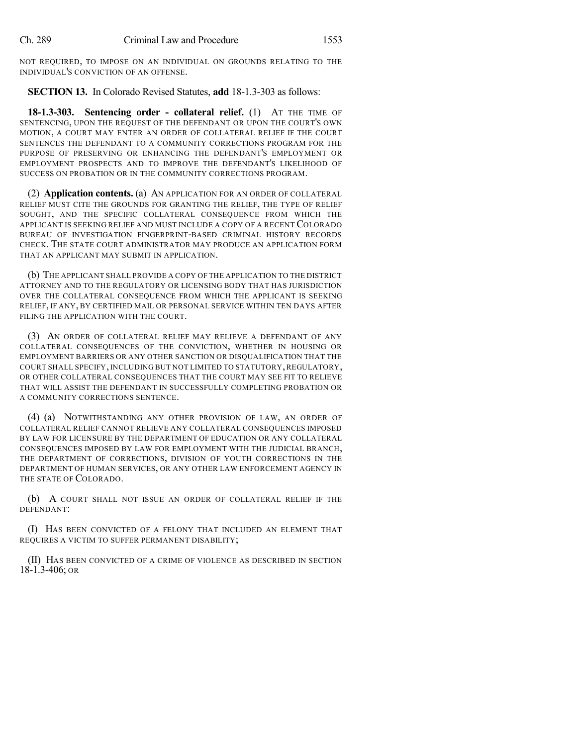NOT REQUIRED, TO IMPOSE ON AN INDIVIDUAL ON GROUNDS RELATING TO THE INDIVIDUAL'S CONVICTION OF AN OFFENSE.

## **SECTION 13.** In Colorado Revised Statutes, **add** 18-1.3-303 as follows:

**18-1.3-303. Sentencing order - collateral relief.** (1) AT THE TIME OF SENTENCING, UPON THE REQUEST OF THE DEFENDANT OR UPON THE COURT'S OWN MOTION, A COURT MAY ENTER AN ORDER OF COLLATERAL RELIEF IF THE COURT SENTENCES THE DEFENDANT TO A COMMUNITY CORRECTIONS PROGRAM FOR THE PURPOSE OF PRESERVING OR ENHANCING THE DEFENDANT'S EMPLOYMENT OR EMPLOYMENT PROSPECTS AND TO IMPROVE THE DEFENDANT'S LIKELIHOOD OF SUCCESS ON PROBATION OR IN THE COMMUNITY CORRECTIONS PROGRAM.

(2) **Application contents.** (a) AN APPLICATION FOR AN ORDER OF COLLATERAL RELIEF MUST CITE THE GROUNDS FOR GRANTING THE RELIEF, THE TYPE OF RELIEF SOUGHT, AND THE SPECIFIC COLLATERAL CONSEQUENCE FROM WHICH THE APPLICANT IS SEEKING RELIEF AND MUST INCLUDE A COPY OF A RECENT COLORADO BUREAU OF INVESTIGATION FINGERPRINT-BASED CRIMINAL HISTORY RECORDS CHECK. THE STATE COURT ADMINISTRATOR MAY PRODUCE AN APPLICATION FORM THAT AN APPLICANT MAY SUBMIT IN APPLICATION.

(b) THE APPLICANT SHALL PROVIDE A COPY OF THE APPLICATION TO THE DISTRICT ATTORNEY AND TO THE REGULATORY OR LICENSING BODY THAT HAS JURISDICTION OVER THE COLLATERAL CONSEQUENCE FROM WHICH THE APPLICANT IS SEEKING RELIEF, IF ANY, BY CERTIFIED MAIL OR PERSONAL SERVICE WITHIN TEN DAYS AFTER FILING THE APPLICATION WITH THE COURT.

(3) AN ORDER OF COLLATERAL RELIEF MAY RELIEVE A DEFENDANT OF ANY COLLATERAL CONSEQUENCES OF THE CONVICTION, WHETHER IN HOUSING OR EMPLOYMENT BARRIERS OR ANY OTHER SANCTION OR DISQUALIFICATION THAT THE COURT SHALL SPECIFY, INCLUDING BUT NOT LIMITED TO STATUTORY, REGULATORY, OR OTHER COLLATERAL CONSEQUENCES THAT THE COURT MAY SEE FIT TO RELIEVE THAT WILL ASSIST THE DEFENDANT IN SUCCESSFULLY COMPLETING PROBATION OR A COMMUNITY CORRECTIONS SENTENCE.

(4) (a) NOTWITHSTANDING ANY OTHER PROVISION OF LAW, AN ORDER OF COLLATERAL RELIEF CANNOT RELIEVE ANY COLLATERAL CONSEQUENCES IMPOSED BY LAW FOR LICENSURE BY THE DEPARTMENT OF EDUCATION OR ANY COLLATERAL CONSEQUENCES IMPOSED BY LAW FOR EMPLOYMENT WITH THE JUDICIAL BRANCH, THE DEPARTMENT OF CORRECTIONS, DIVISION OF YOUTH CORRECTIONS IN THE DEPARTMENT OF HUMAN SERVICES, OR ANY OTHER LAW ENFORCEMENT AGENCY IN THE STATE OF COLORADO.

(b) A COURT SHALL NOT ISSUE AN ORDER OF COLLATERAL RELIEF IF THE DEFENDANT:

(I) HAS BEEN CONVICTED OF A FELONY THAT INCLUDED AN ELEMENT THAT REQUIRES A VICTIM TO SUFFER PERMANENT DISABILITY;

(II) HAS BEEN CONVICTED OF A CRIME OF VIOLENCE AS DESCRIBED IN SECTION 18-1.3-406; OR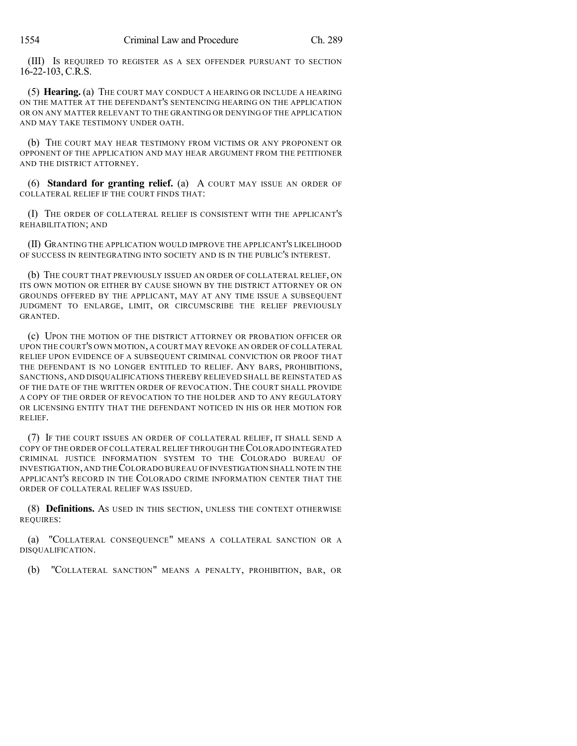(III) IS REQUIRED TO REGISTER AS A SEX OFFENDER PURSUANT TO SECTION 16-22-103, C.R.S.

(5) **Hearing.** (a) THE COURT MAY CONDUCT A HEARING OR INCLUDE A HEARING ON THE MATTER AT THE DEFENDANT'S SENTENCING HEARING ON THE APPLICATION OR ON ANY MATTER RELEVANT TO THE GRANTING OR DENYING OF THE APPLICATION AND MAY TAKE TESTIMONY UNDER OATH.

(b) THE COURT MAY HEAR TESTIMONY FROM VICTIMS OR ANY PROPONENT OR OPPONENT OF THE APPLICATION AND MAY HEAR ARGUMENT FROM THE PETITIONER AND THE DISTRICT ATTORNEY.

(6) **Standard for granting relief.** (a) A COURT MAY ISSUE AN ORDER OF COLLATERAL RELIEF IF THE COURT FINDS THAT:

(I) THE ORDER OF COLLATERAL RELIEF IS CONSISTENT WITH THE APPLICANT'S REHABILITATION; AND

(II) GRANTING THE APPLICATION WOULD IMPROVE THE APPLICANT'S LIKELIHOOD OF SUCCESS IN REINTEGRATING INTO SOCIETY AND IS IN THE PUBLIC'S INTEREST.

(b) THE COURT THAT PREVIOUSLY ISSUED AN ORDER OF COLLATERAL RELIEF, ON ITS OWN MOTION OR EITHER BY CAUSE SHOWN BY THE DISTRICT ATTORNEY OR ON GROUNDS OFFERED BY THE APPLICANT, MAY AT ANY TIME ISSUE A SUBSEQUENT JUDGMENT TO ENLARGE, LIMIT, OR CIRCUMSCRIBE THE RELIEF PREVIOUSLY GRANTED.

(c) UPON THE MOTION OF THE DISTRICT ATTORNEY OR PROBATION OFFICER OR UPON THE COURT'S OWN MOTION, A COURT MAY REVOKE AN ORDER OF COLLATERAL RELIEF UPON EVIDENCE OF A SUBSEQUENT CRIMINAL CONVICTION OR PROOF THAT THE DEFENDANT IS NO LONGER ENTITLED TO RELIEF. ANY BARS, PROHIBITIONS, SANCTIONS, AND DISQUALIFICATIONS THEREBY RELIEVED SHALL BE REINSTATED AS OF THE DATE OF THE WRITTEN ORDER OF REVOCATION. THE COURT SHALL PROVIDE A COPY OF THE ORDER OF REVOCATION TO THE HOLDER AND TO ANY REGULATORY OR LICENSING ENTITY THAT THE DEFENDANT NOTICED IN HIS OR HER MOTION FOR RELIEF.

(7) IF THE COURT ISSUES AN ORDER OF COLLATERAL RELIEF, IT SHALL SEND A COPY OF THE ORDER OF COLLATERALRELIEF THROUGH THECOLORADO INTEGRATED CRIMINAL JUSTICE INFORMATION SYSTEM TO THE COLORADO BUREAU OF INVESTIGATION,AND THECOLORADO BUREAU OFINVESTIGATION SHALL NOTE IN THE APPLICANT'S RECORD IN THE COLORADO CRIME INFORMATION CENTER THAT THE ORDER OF COLLATERAL RELIEF WAS ISSUED.

(8) **Definitions.** AS USED IN THIS SECTION, UNLESS THE CONTEXT OTHERWISE REQUIRES:

(a) "COLLATERAL CONSEQUENCE" MEANS A COLLATERAL SANCTION OR A DISQUALIFICATION.

(b) "COLLATERAL SANCTION" MEANS A PENALTY, PROHIBITION, BAR, OR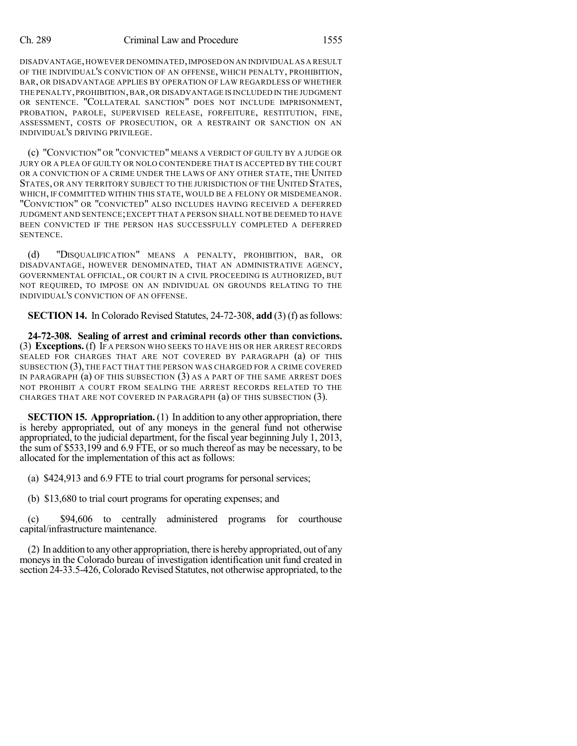### Ch. 289 Criminal Law and Procedure 1555

DISADVANTAGE,HOWEVER DENOMINATED,IMPOSED ON AN INDIVIDUAL AS A RESULT OF THE INDIVIDUAL'S CONVICTION OF AN OFFENSE, WHICH PENALTY, PROHIBITION, BAR, OR DISADVANTAGE APPLIES BY OPERATION OF LAW REGARDLESS OF WHETHER THE PENALTY,PROHIBITION,BAR,OR DISADVANTAGE IS INCLUDED IN THE JUDGMENT OR SENTENCE. "COLLATERAL SANCTION" DOES NOT INCLUDE IMPRISONMENT, PROBATION, PAROLE, SUPERVISED RELEASE, FORFEITURE, RESTITUTION, FINE, ASSESSMENT, COSTS OF PROSECUTION, OR A RESTRAINT OR SANCTION ON AN INDIVIDUAL'S DRIVING PRIVILEGE.

(c) "CONVICTION" OR "CONVICTED" MEANS A VERDICT OF GUILTY BY A JUDGE OR JURY OR A PLEA OF GUILTY OR NOLO CONTENDERE THAT IS ACCEPTED BY THE COURT OR A CONVICTION OF A CRIME UNDER THE LAWS OF ANY OTHER STATE, THE UNITED STATES, OR ANY TERRITORY SUBJECT TO THE JURISDICTION OF THE UNITED STATES, WHICH, IF COMMITTED WITHIN THIS STATE, WOULD BE A FELONY OR MISDEMEANOR. "CONVICTION" OR "CONVICTED" ALSO INCLUDES HAVING RECEIVED A DEFERRED JUDGMENT AND SENTENCE;EXCEPT THAT A PERSON SHALL NOT BE DEEMED TO HAVE BEEN CONVICTED IF THE PERSON HAS SUCCESSFULLY COMPLETED A DEFERRED SENTENCE.

(d) "DISQUALIFICATION" MEANS A PENALTY, PROHIBITION, BAR, OR DISADVANTAGE, HOWEVER DENOMINATED, THAT AN ADMINISTRATIVE AGENCY, GOVERNMENTAL OFFICIAL, OR COURT IN A CIVIL PROCEEDING IS AUTHORIZED, BUT NOT REQUIRED, TO IMPOSE ON AN INDIVIDUAL ON GROUNDS RELATING TO THE INDIVIDUAL'S CONVICTION OF AN OFFENSE.

**SECTION 14.** In Colorado Revised Statutes, 24-72-308, add (3) (f) as follows:

**24-72-308. Sealing of arrest and criminal records other than convictions.** (3) **Exceptions.** (f) IF A PERSON WHO SEEKS TO HAVE HIS OR HER ARREST RECORDS SEALED FOR CHARGES THAT ARE NOT COVERED BY PARAGRAPH (a) OF THIS SUBSECTION (3), THE FACT THAT THE PERSON WAS CHARGED FOR A CRIME COVERED IN PARAGRAPH (a) OF THIS SUBSECTION (3) AS A PART OF THE SAME ARREST DOES NOT PROHIBIT A COURT FROM SEALING THE ARREST RECORDS RELATED TO THE CHARGES THAT ARE NOT COVERED IN PARAGRAPH (a) OF THIS SUBSECTION (3).

**SECTION 15. Appropriation.** (1) In addition to any other appropriation, there is hereby appropriated, out of any moneys in the general fund not otherwise appropriated, to the judicial department, for the fiscal year beginning July 1, 2013, the sum of \$533,199 and 6.9 FTE, or so much thereof as may be necessary, to be allocated for the implementation of this act as follows:

(a) \$424,913 and 6.9 FTE to trial court programs for personal services;

(b) \$13,680 to trial court programs for operating expenses; and

(c) \$94,606 to centrally administered programs for courthouse capital/infrastructure maintenance.

(2) In addition to anyother appropriation, there is hereby appropriated, out of any moneys in the Colorado bureau of investigation identification unit fund created in section 24-33.5-426, Colorado Revised Statutes, not otherwise appropriated, to the